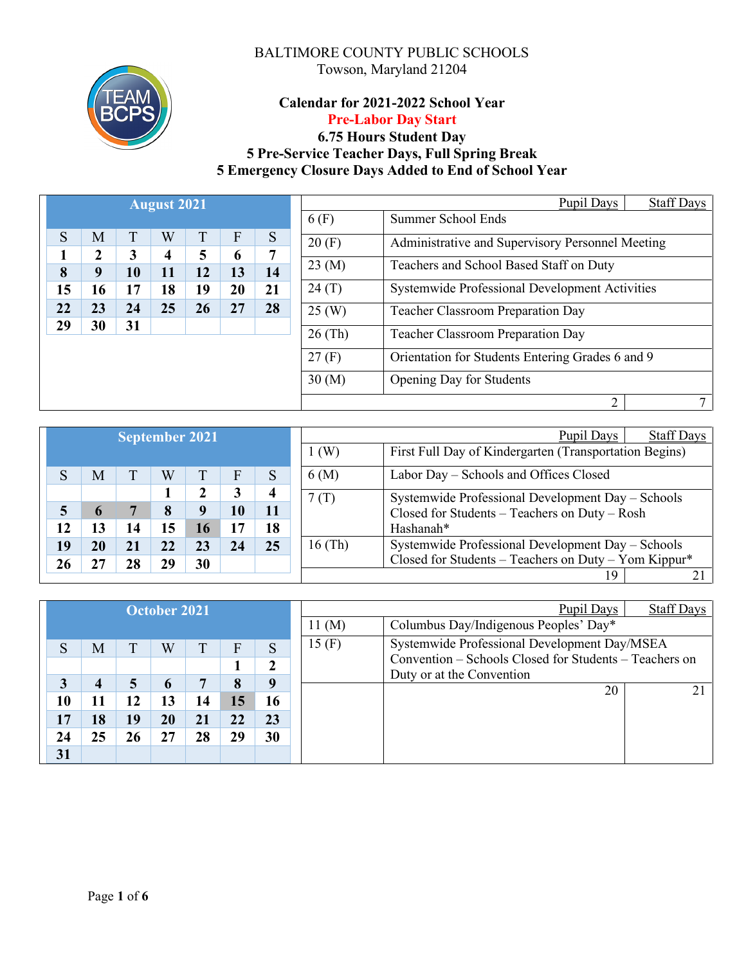

# **Calendar for 2021-2022 School Year Pre-Labor Day Start**

# **6.75 Hours Student Day 5 Pre-Service Teacher Days, Full Spring Break 5 Emergency Closure Days Added to End of School Year**

|    |                  |    | <b>August 2021</b> |    |    |    |             | Pupil Days                                       | <b>Staff Days</b> |
|----|------------------|----|--------------------|----|----|----|-------------|--------------------------------------------------|-------------------|
|    |                  |    |                    |    |    |    | 6(F)        | Summer School Ends                               |                   |
| S  | M                | T  | W                  | T  | F  | S  | 20(F)       | Administrative and Supervisory Personnel Meeting |                   |
|    | $\boldsymbol{2}$ | 3  | 4                  | 5  | 6  | 7  |             |                                                  |                   |
| 8  | 9                | 10 | 11                 | 12 | 13 | 14 | 23 (M)      | Teachers and School Based Staff on Duty          |                   |
| 15 | 16               | 17 | 18                 | 19 | 20 | 21 | 24(T)       | Systemwide Professional Development Activities   |                   |
| 22 | 23               | 24 | 25                 | 26 | 27 | 28 | $25 \, (W)$ | <b>Teacher Classroom Preparation Day</b>         |                   |
| 29 | 30               | 31 |                    |    |    |    | $26$ (Th)   | <b>Teacher Classroom Preparation Day</b>         |                   |
|    |                  |    |                    |    |    |    |             |                                                  |                   |
|    |                  |    |                    |    |    |    | 27(F)       | Orientation for Students Entering Grades 6 and 9 |                   |
|    |                  |    |                    |    |    |    | 30(M)       | <b>Opening Day for Students</b>                  |                   |
|    |                  |    |                    |    |    |    |             | 2                                                |                   |
|    |                  |    |                    |    |    |    |             |                                                  |                   |

|    |    | <b>September 2021</b> |    |    |    |    |         | <b>Staff Days</b><br>Pupil Days                        |
|----|----|-----------------------|----|----|----|----|---------|--------------------------------------------------------|
|    |    |                       |    |    |    |    | 1 (W)   | First Full Day of Kindergarten (Transportation Begins) |
|    | M  |                       | W  |    | F  | S  | 6(M)    | Labor Day – Schools and Offices Closed                 |
|    |    |                       |    |    |    |    | 7(T)    | Systemwide Professional Development Day - Schools      |
|    |    |                       | 8  | Q  | 10 |    |         | Closed for Students - Teachers on Duty - Rosh          |
| 12 | 3  | 14                    | .5 | 16 |    | 18 |         | Hashanah*                                              |
| 19 | 20 | 21                    | 22 | 23 | 24 | 25 | 16 (Th) | Systemwide Professional Development Day - Schools      |
|    |    | 28                    | 29 | 30 |    |    |         | Closed for Students – Teachers on Duty – Yom Kippur*   |
|    |    |                       |    |    |    |    |         | 19                                                     |

|    |    |    | October 2021 |    |    |    |                      | Pupil Days                                                                          | <b>Staff Days</b> |
|----|----|----|--------------|----|----|----|----------------------|-------------------------------------------------------------------------------------|-------------------|
|    |    |    |              |    |    |    | $11 \, (\mathrm{M})$ | Columbus Day/Indigenous Peoples' Day*                                               |                   |
| S  | M  | T  | W            | T  | F  | S  | 15(F)                | Systemwide Professional Development Day/MSEA                                        |                   |
|    |    |    |              |    |    |    |                      | Convention – Schools Closed for Students – Teachers on<br>Duty or at the Convention |                   |
| 3  | 4  | 5  | 6            | 7  | 8  | 9  |                      | 20                                                                                  | 21                |
| 10 | 11 | 12 | 13           | 14 | 15 | 16 |                      |                                                                                     |                   |
| 17 | 18 | 19 | 20           | 21 | 22 | 23 |                      |                                                                                     |                   |
| 24 | 25 | 26 | 27           | 28 | 29 | 30 |                      |                                                                                     |                   |
| 31 |    |    |              |    |    |    |                      |                                                                                     |                   |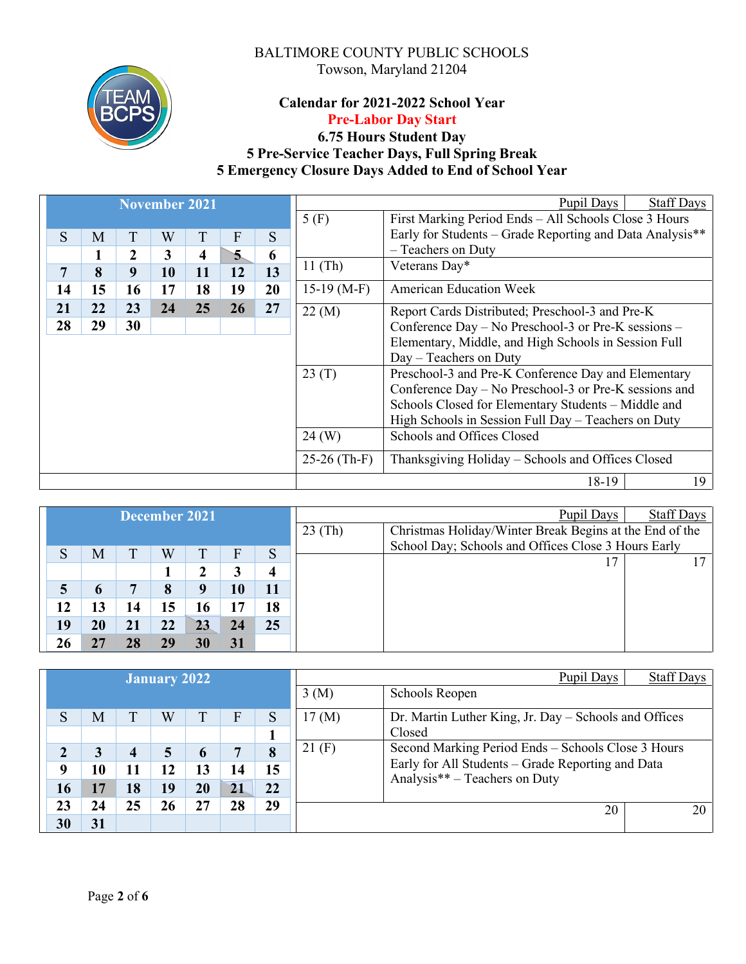

# **Calendar for 2021-2022 School Year Pre-Labor Day Start**

# **6.75 Hours Student Day 5 Pre-Service Teacher Days, Full Spring Break 5 Emergency Closure Days Added to End of School Year**

|    |    |    | <b>November 2021</b> |                         |    |    |                | <b>Staff Days</b><br>Pupil Days                          |
|----|----|----|----------------------|-------------------------|----|----|----------------|----------------------------------------------------------|
|    |    |    |                      |                         |    |    | 5(F)           | First Marking Period Ends - All Schools Close 3 Hours    |
| S  | M  | T  | W                    | T                       | F  | S  |                | Early for Students – Grade Reporting and Data Analysis** |
|    | 1  | 2  | 3                    | $\overline{\mathbf{4}}$ | 5  | 6  |                | - Teachers on Duty                                       |
| 7  | 8  | 9  | 10                   | 11                      | 12 | 13 | $11$ (Th)      | Veterans Day*                                            |
| 14 | 15 | 16 | 17                   | 18                      | 19 | 20 | $15-19$ (M-F)  | <b>American Education Week</b>                           |
| 21 | 22 | 23 | 24                   | 25                      | 26 | 27 | 22 (M)         | Report Cards Distributed; Preschool-3 and Pre-K          |
| 28 | 29 | 30 |                      |                         |    |    |                | Conference Day – No Preschool-3 or Pre-K sessions –      |
|    |    |    |                      |                         |    |    |                | Elementary, Middle, and High Schools in Session Full     |
|    |    |    |                      |                         |    |    |                | $Day - Teachers$ on Duty                                 |
|    |    |    |                      |                         |    |    | 23(T)          | Preschool-3 and Pre-K Conference Day and Elementary      |
|    |    |    |                      |                         |    |    |                | Conference Day - No Preschool-3 or Pre-K sessions and    |
|    |    |    |                      |                         |    |    |                | Schools Closed for Elementary Students - Middle and      |
|    |    |    |                      |                         |    |    |                | High Schools in Session Full Day - Teachers on Duty      |
|    |    |    |                      |                         |    |    | $24 \, (W)$    | Schools and Offices Closed                               |
|    |    |    |                      |                         |    |    | $25-26$ (Th-F) | Thanksgiving Holiday - Schools and Offices Closed        |
|    |    |    |                      |                         |    |    |                | 19<br>18-19                                              |

|    |    |    | December 2021 |    |    |    |           | Pupil Days                                              | Staff Days |
|----|----|----|---------------|----|----|----|-----------|---------------------------------------------------------|------------|
|    |    |    |               |    |    |    | $23$ (Th) | Christmas Holiday/Winter Break Begins at the End of the |            |
| S  | M  | т  | W             |    | F  |    |           | School Day; Schools and Offices Close 3 Hours Early     |            |
|    |    |    |               |    |    | S  |           |                                                         |            |
|    |    |    |               |    |    |    |           |                                                         |            |
| 5  | 6  | 7  | 8             |    | 10 |    |           |                                                         |            |
| 12 | 13 | 14 | 15            | 16 | 17 | 18 |           |                                                         |            |
| 19 | 20 | 21 | 22            | 23 | 24 | 25 |           |                                                         |            |
| 26 | 27 | 28 | 29            | 30 | 31 |    |           |                                                         |            |

|    |    |    | <b>January 2022</b> |              |    |    |       | Pupil Days                                                                         | <b>Staff Days</b> |
|----|----|----|---------------------|--------------|----|----|-------|------------------------------------------------------------------------------------|-------------------|
|    |    |    |                     |              |    |    | 3(M)  | Schools Reopen                                                                     |                   |
| S  | M  | Τ  | W                   |              | F  | S  | 17(M) | Dr. Martin Luther King, Jr. Day – Schools and Offices                              |                   |
|    |    |    |                     |              |    |    |       | Closed                                                                             |                   |
| 2  | 3  | 4  | 5                   | <sub>0</sub> |    | 8  | 21(F) | Second Marking Period Ends – Schools Close 3 Hours                                 |                   |
| 9  | 10 | 11 | 12                  | 13           | 14 | 15 |       | Early for All Students - Grade Reporting and Data<br>Analysis** – Teachers on Duty |                   |
| 16 | 17 | 18 | 19                  | $20\,$       | 21 | 22 |       |                                                                                    |                   |
| 23 | 24 | 25 | 26                  | 27           | 28 | 29 |       | 20                                                                                 | 20                |
| 30 | 31 |    |                     |              |    |    |       |                                                                                    |                   |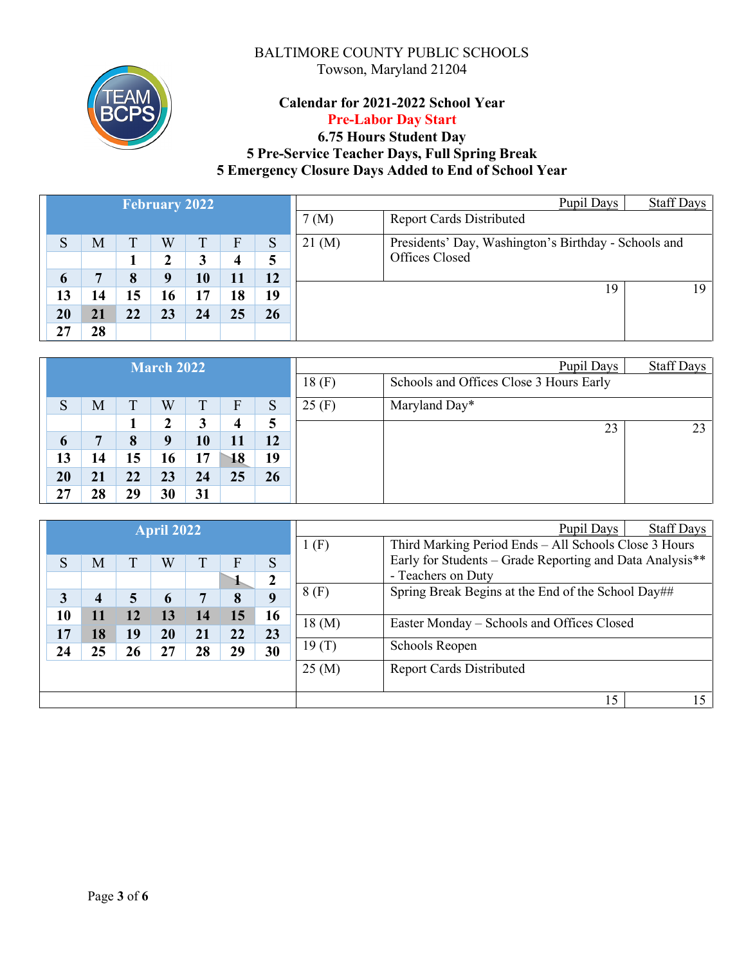

# **Calendar for 2021-2022 School Year Pre-Labor Day Start**

# **6.75 Hours Student Day 5 Pre-Service Teacher Days, Full Spring Break 5 Emergency Closure Days Added to End of School Year**

|    |    |    | <b>February 2022</b> |    |    |    |             | Pupil Days                                           | <b>Staff Days</b> |
|----|----|----|----------------------|----|----|----|-------------|------------------------------------------------------|-------------------|
|    |    |    |                      |    |    |    | 7 (M)       | <b>Report Cards Distributed</b>                      |                   |
| S  | M  | ፐ  | W                    |    | F  | S  | $21 \, (M)$ | Presidents' Day, Washington's Birthday - Schools and |                   |
|    |    |    | ┑                    |    | 4  |    |             | Offices Closed                                       |                   |
| 6  | 7  | 8  | q                    | 10 | 11 | 12 |             |                                                      |                   |
| 13 | 14 | 15 | 16                   | 17 | 18 | 19 |             | 19                                                   | 19.               |
| 20 | 21 | 22 | 23                   | 24 | 25 | 26 |             |                                                      |                   |
| 27 | 28 |    |                      |    |    |    |             |                                                      |                   |

|    |    |    | <b>March 2022</b> |    |                  |    |       | Pupil Days                              | <b>Staff Days</b> |
|----|----|----|-------------------|----|------------------|----|-------|-----------------------------------------|-------------------|
|    |    |    |                   |    |                  |    | 18(F) | Schools and Offices Close 3 Hours Early |                   |
| S  | M  | T  | W                 | ᠇  | F                | S  | 25(F) | Maryland Day*                           |                   |
|    |    |    | 2                 | 3  | $\boldsymbol{4}$ |    |       | 23                                      | 23                |
| 6  | −  | 8  | 9                 | 10 | 11               | 12 |       |                                         |                   |
| 13 | 14 | 15 | 16                | 17 | 18               | 19 |       |                                         |                   |
| 20 | 21 | 22 | 23                | 24 | 25               | 26 |       |                                         |                   |
| 27 | 28 | 29 | 30                | 31 |                  |    |       |                                         |                   |

|    |    |    | <b>April 2022</b> |    |                |              |       | Staff Days<br>Pupil Days                                 |
|----|----|----|-------------------|----|----------------|--------------|-------|----------------------------------------------------------|
|    |    |    |                   |    |                |              | (F)   | Third Marking Period Ends - All Schools Close 3 Hours    |
| S  | M  | T  | W                 | T  | $\overline{F}$ | S            |       | Early for Students – Grade Reporting and Data Analysis** |
|    |    |    |                   |    |                | $\mathbf{2}$ |       | - Teachers on Duty                                       |
| 3  | 4  | 5  | 6                 | 7  | 8              | 9            | 8(F)  | Spring Break Begins at the End of the School Day##       |
| 10 | 11 | 12 | 13                | 14 | 15             | 16           |       |                                                          |
| 17 | 18 | 19 | 20                | 21 | 22             | 23           | 18(M) | Easter Monday – Schools and Offices Closed               |
| 24 | 25 | 26 | 27                | 28 | 29             | 30           | 19(T) | Schools Reopen                                           |
|    |    |    |                   |    |                |              | 25(M) | <b>Report Cards Distributed</b>                          |
|    |    |    |                   |    |                |              |       |                                                          |
|    |    |    |                   |    |                |              |       | 15<br>15                                                 |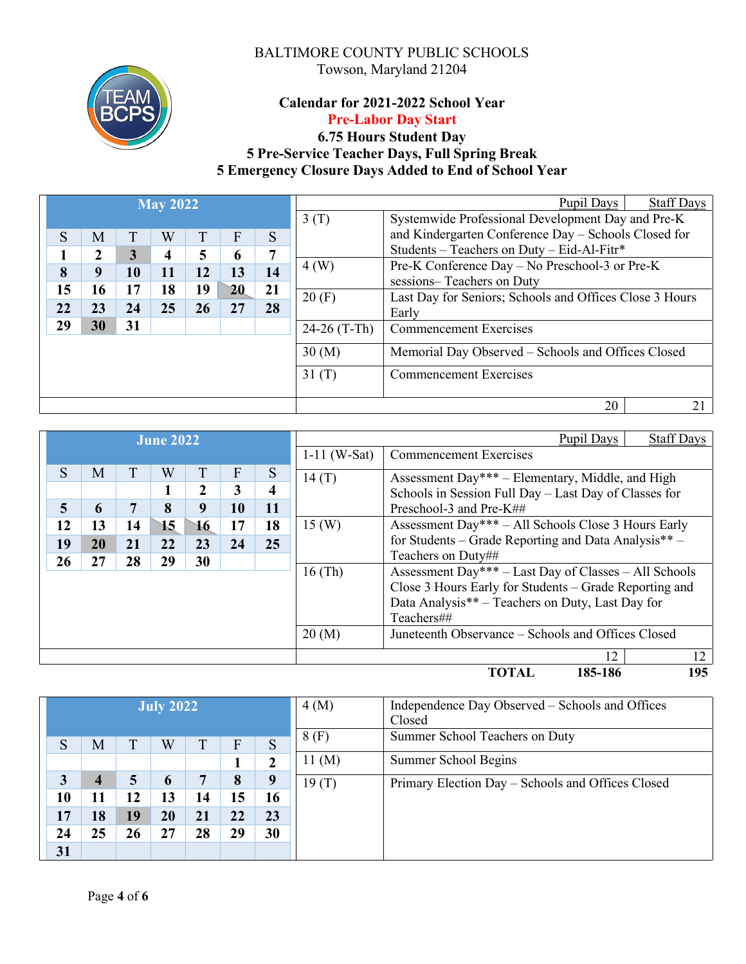

# **Calendar for 2021-2022 School Year Pre-Labor Day Start**

# **6.75 Hours Student Day 5 Pre-Service Teacher Days, Full Spring Break 5 Emergency Closure Days Added to End of School Year**

|    |    |    | <b>May 2022</b> |    |    |    |                | <b>Staff Days</b><br>Pupil Days                         |
|----|----|----|-----------------|----|----|----|----------------|---------------------------------------------------------|
|    |    |    |                 |    |    |    | 3(T)           | Systemwide Professional Development Day and Pre-K       |
| S  | M  | T  | Ŵ               |    | F  | S  |                | and Kindergarten Conference Day - Schools Closed for    |
| ш  | 2  | 3  | 4               | 5  | 6  | 7  |                | Students - Teachers on Duty - Eid-Al-Fitr*              |
| 8  | 9  | 10 | 11              | 12 | 13 | 14 | 4(W)           | Pre-K Conference Day - No Preschool-3 or Pre-K          |
|    |    |    |                 |    |    |    |                | sessions-Teachers on Duty                               |
| 15 | 16 | 17 | 18              | 19 | 20 | 21 | 20(F)          | Last Day for Seniors; Schools and Offices Close 3 Hours |
| 22 | 23 | 24 | 25              | 26 | 27 | 28 |                | Early                                                   |
| 29 | 30 | 31 |                 |    |    |    | $24-26$ (T-Th) | <b>Commencement Exercises</b>                           |
|    |    |    |                 |    |    |    |                |                                                         |
|    |    |    |                 |    |    |    | 30(M)          | Memorial Day Observed - Schools and Offices Closed      |
|    |    |    |                 |    |    |    | 31(T)          | <b>Commencement Exercises</b>                           |
|    |    |    |                 |    |    |    |                |                                                         |
|    |    |    |                 |    |    |    |                | 20<br>21                                                |

|    |    |    | <b>June 2022</b> |    |    |    |                | <b>Staff Days</b><br>Pupil Days                        |
|----|----|----|------------------|----|----|----|----------------|--------------------------------------------------------|
|    |    |    |                  |    |    |    | $1-11$ (W-Sat) | <b>Commencement Exercises</b>                          |
| S  | M  | Τ  | W                |    | F  | S  | 14(T)          | Assessment Day*** – Elementary, Middle, and High       |
|    |    |    |                  | 2  | 3  | 4  |                | Schools in Session Full Day - Last Day of Classes for  |
| 5  | 6  | 7  | 8                | 9  | 10 | 11 |                | Preschool-3 and Pre-K##                                |
| 12 | 13 | 14 | 15               | 16 | 17 | 18 | 15(W)          | Assessment Day*** – All Schools Close 3 Hours Early    |
| 19 | 20 | 21 | 22               | 23 | 24 | 25 |                | for Students – Grade Reporting and Data Analysis** –   |
| 26 | 27 | 28 | 29               | 30 |    |    |                | Teachers on Duty##                                     |
|    |    |    |                  |    |    |    | $16$ (Th)      | Assessment Day*** - Last Day of Classes - All Schools  |
|    |    |    |                  |    |    |    |                | Close 3 Hours Early for Students – Grade Reporting and |
|    |    |    |                  |    |    |    |                | Data Analysis** – Teachers on Duty, Last Day for       |
|    |    |    |                  |    |    |    |                | Teachers##                                             |
|    |    |    |                  |    |    |    | 20(M)          | Juneteenth Observance – Schools and Offices Closed     |
|    |    |    |                  |    |    |    |                | 12<br>12                                               |

**TOTAL 185-186 195** 

|    |                |    | <b>July 2022</b> |    |    |              | 4(M)             | Independence Day Observed – Schools and Offices<br>Closed |
|----|----------------|----|------------------|----|----|--------------|------------------|-----------------------------------------------------------|
| S  | M              | ፐ  | W                | T  | F  | S            | 8(F)             | Summer School Teachers on Duty                            |
|    |                |    |                  |    |    | $\mathbf{2}$ | $11 \text{ (M)}$ | Summer School Begins                                      |
| 3  | $\overline{4}$ | 5  | $\mathbf b$      | 7  | 8  | 9            | 19(T)            | Primary Election Day - Schools and Offices Closed         |
| 10 | 11             | 12 | 13               | 14 | 15 | 16           |                  |                                                           |
| 17 | 18             | 19 | 20               | 21 | 22 | 23           |                  |                                                           |
| 24 | 25             | 26 | 27               | 28 | 29 | 30           |                  |                                                           |
| 31 |                |    |                  |    |    |              |                  |                                                           |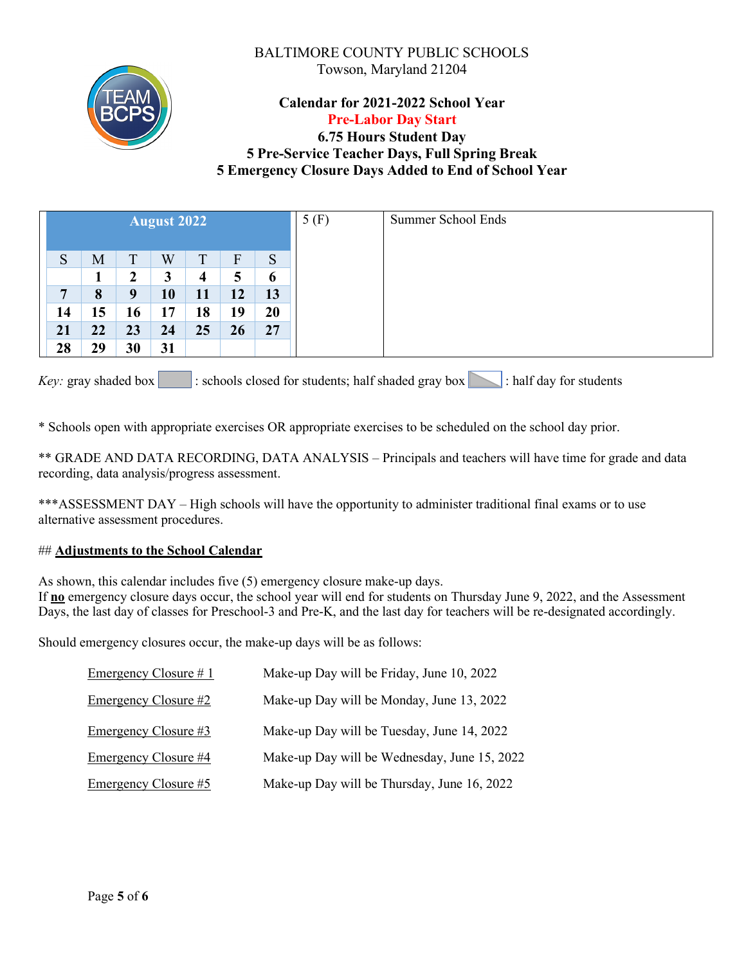

# **Calendar for 2021-2022 School Year Pre-Labor Day Start**

# **6.75 Hours Student Day 5 Pre-Service Teacher Days, Full Spring Break 5 Emergency Closure Days Added to End of School Year**

|                |    |                  | August 2022 |    |    |    | 5(F)<br><b>Summer School Ends</b> |
|----------------|----|------------------|-------------|----|----|----|-----------------------------------|
| S              | M  | T                | W           | T  | F  | S  |                                   |
|                |    | $\boldsymbol{2}$ | 3           | 4  | 5  | 6  |                                   |
| $\overline{ }$ | 8  | 9                | 10          | 11 | 12 | 13 |                                   |
| 14             | 15 | 16               | 17          | 18 | 19 | 20 |                                   |
| 21             | 22 | 23               | 24          | 25 | 26 | 27 |                                   |
| 28             | 29 | 30               | 31          |    |    |    |                                   |

*Key*: gray shaded box  $\lceil \cdot \rceil$ : schools closed for students; half shaded gray box : half day for students

\* Schools open with appropriate exercises OR appropriate exercises to be scheduled on the school day prior.

\*\* GRADE AND DATA RECORDING, DATA ANALYSIS – Principals and teachers will have time for grade and data recording, data analysis/progress assessment.

\*\*\*ASSESSMENT DAY – High schools will have the opportunity to administer traditional final exams or to use alternative assessment procedures.

#### ## **Adjustments to the School Calendar**

As shown, this calendar includes five (5) emergency closure make-up days.

If **no** emergency closure days occur, the school year will end for students on Thursday June 9, 2022, and the Assessment Days, the last day of classes for Preschool-3 and Pre-K, and the last day for teachers will be re-designated accordingly.

Should emergency closures occur, the make-up days will be as follows:

| Emergency Closure #1 | Make-up Day will be Friday, June 10, 2022    |
|----------------------|----------------------------------------------|
| Emergency Closure #2 | Make-up Day will be Monday, June 13, 2022    |
| Emergency Closure #3 | Make-up Day will be Tuesday, June 14, 2022   |
| Emergency Closure #4 | Make-up Day will be Wednesday, June 15, 2022 |
| Emergency Closure #5 | Make-up Day will be Thursday, June 16, 2022  |